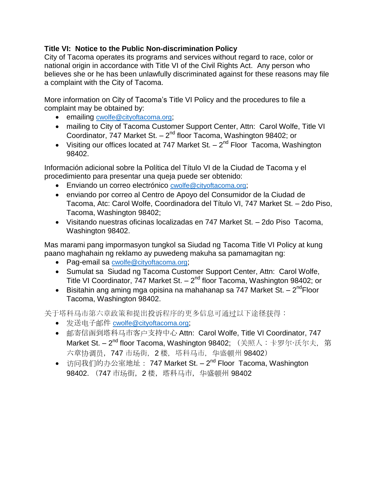## **Title VI: Notice to the Public Non-discrimination Policy**

City of Tacoma operates its programs and services without regard to race, color or national origin in accordance with Title VI of the Civil Rights Act. Any person who believes she or he has been unlawfully discriminated against for these reasons may file a complaint with the City of Tacoma.

More information on City of Tacoma's Title VI Policy and the procedures to file a complaint may be obtained by:

- emailing [cwolfe@cityoftacoma.org](mailto:cwolfe@cityoftacoma.org);
- mailing to City of Tacoma Customer Support Center, Attn: Carol Wolfe, Title VI Coordinator,  $747$  Market St.  $-2<sup>nd</sup>$  floor Tacoma, Washington 98402; or
- Visiting our offices located at 747 Market St.  $-2^{nd}$  Floor Tacoma, Washington 98402.

Información adicional sobre la Política del Título VI de la Ciudad de Tacoma y el procedimiento para presentar una queja puede ser obtenido:

- **Enviando un correo electrónico [cwolfe@cityoftacoma.org](mailto:cwolfe@cityoftacoma.org);**
- enviando por correo al Centro de Apoyo del Consumidor de la Ciudad de Tacoma, Atc: Carol Wolfe, Coordinadora del Título VI, 747 Market St. – 2do Piso, Tacoma, Washington 98402;
- Visitando nuestras oficinas localizadas en 747 Market St. 2do Piso Tacoma, Washington 98402.

Mas marami pang impormasyon tungkol sa Siudad ng Tacoma Title VI Policy at kung paano maghahain ng reklamo ay puwedeng makuha sa pamamagitan ng:

- Pag-email sa [cwolfe@cityoftacoma.org](mailto:cwolfe@cityoftacoma.org);
- Sumulat sa Siudad ng Tacoma Customer Support Center, Attn: Carol Wolfe, Title VI Coordinator, 747 Market St. - 2<sup>nd</sup> floor Tacoma, Washington 98402; or
- $\bullet$  Bisitahin ang aming mga opisina na mahahanap sa 747 Market St. 2<sup>nd</sup>Floor Tacoma, Washington 98402.

关于塔科马市第六章政策和提出投诉程序的更多信息可通过以下途径获得:

- 发送电子邮件 [cwolfe@cityoftacoma.org](mailto:cwolfe@cityoftacoma.org);
- 邮寄信函到塔科马市客户支持中心 Attn: Carol Wolfe, Title VI Coordinator, 747 **Market St. – 2<sup>nd</sup> floor Tacoma, Washington 98402;** (关照人:卡罗尔·沃尔夫, 第 六章协调员, 747 市场街, 2楼, 塔科马市, 华盛顿州 98402)
- 访问我们的办公室地址: 747 Market St. 2<sup>nd</sup> Floor Tacoma, Washington 98402. (747 市场街,2 楼,塔科马市,华盛顿州 98402